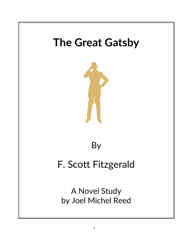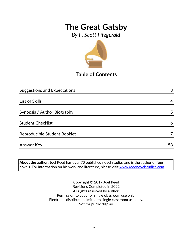*By F. Scott Fitzgerald*



**Table of Contents**

| <b>Suggestions and Expectations</b> | 3  |
|-------------------------------------|----|
|                                     |    |
| List of Skills                      | 4  |
|                                     |    |
| Synopsis / Author Biography         | 5  |
|                                     |    |
| <b>Student Checklist</b>            | 6  |
|                                     |    |
| Reproducible Student Booklet        |    |
|                                     |    |
| <b>Answer Key</b>                   | 58 |

**About the author:** Joel Reed has over 70 published novel studies and is the author of four  $|$ novels. For information on his work and literature, please visit  $\overline{\text{www.reednovelstudies.com}}$ 

> Copyright © 2017 Joel Reed Revisions Completed in 2022 All rights reserved by author. Permission to copy for single classroom use only. Electronic distribution limited to single classroom use only. Not for public display.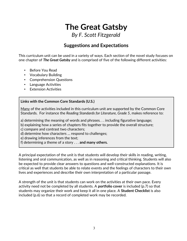*By F. Scott Fitzgerald*

### **Suggestions and Expectations**

This curriculum unit can be used in a variety of ways. Each section of the novel study focuses on one chapter of *The Great Gatsby* and is comprised of five of the following different activities:

- Before You Read
- Vocabulary Building
- Comprehension Questions
- Language Activities
- **Extension Activities**

#### **Links with the Common Core Standards (U.S.)**

Many of the activities included in this curriculum unit are supported by the Common Core Standards. For instance the *Reading Standards for Literature, Grade 5*, makes reference to:

a) determining the meaning of words and phrases. . . including figurative language;

b) explaining how a series of chapters fits together to provide the overall structure;

c) compare and contrast two characters;

d) determine how characters … respond to challenges;

e) drawing inferences from the text;

f) determining a theme of a story . . . **and many others.**

A principal expectation of the unit is that students will develop their skills in reading, writing, listening and oral communication, as well as in reasoning and critical thinking. Students will also be expected to provide clear answers to questions and well-constructed explanations. It is critical as well that students be able to relate events and the feelings of characters to their own lives and experiences and describe their own interpretation of a particular passage.

A strength of the unit is that students can work on the activities at their own pace. Every activity need not be completed by all students. A **portfolio cover** is included (p.7) so that students may organize their work and keep it all in one place. A **Student Checklist** is also included (p.6) so that a record of completed work may be recorded.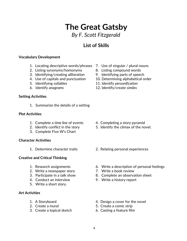## *By F. Scott Fitzgerald*

**The Great Gatsby**

### **List of Skills**

#### **Vocabulary Development**

- 1. Locating descriptive words/phrases 7. Use of singular / plural nouns
- 2. Listing synonyms/homonyms 8. Listing compound words
- 3. Identifying/creating *alliteration* 9. Identifying parts of speech
- 
- 
- 

#### **Setting Activities**

1. Summarize the details of a setting

#### **Plot Activities**

- 1. Complete a *time line* of events 4. Completing a story pyramid
- 
- 3. Complete Five W's Chart

#### **Character Activities**

#### **Creative and Critical Thinking**

- 
- 2. Write a newspaper story **7.** Write a book review
- 
- 4. Conduct an interview 9. Write a history report
- 5. Write a short story.

#### **Art Activities**

- 
- 
- 3. Create a topical sketch 6. Casting a feature film
- 
- 
- 
- 4. Use of capitals and punctuation 10. Determining alphabetical order
- 5. Identifying syllables 11. Identify *personification*
- 6. Identify *anagrams* 12. Identify/create *similes*

- 
- 2. Identify conflict in the story 5. Identify the climax of the novel.
- 1. Determine character traits 2. Relating personal experiences
- 1. Research assignments 6. Write a description of personal feelings
	-
- 3. Participate in a talk show 8. Complete an observation sheet
	-
- 1. A Storyboard **1.** A Storyboard **1.** A Storyboard
- 2. Create a mural 2. Create a comic strip
	-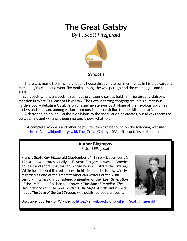*By F. Scott Fitzgerald*



#### **Synopsis**

 There was music from my neighbour's house through the summer nights. In his blue gardens men and girls came and went like moths among the whisperings and the champagne and the stars.

 Everybody who is anybody is seen at the glittering parties held in millionaire Jay Gatsby's mansion in West Egg, east of New York. The riotous throng congregates in his sumptuous garden, coolly debating Gatsby's origins and mysterious past. None of the frivolous socialites understands him and among various rumours is the conviction that 'he killed a man'.

 A detached onlooker, Gatsby is oblivious to the speculation he creates, but always seems to be watching and waiting, though no one knows what for.

A complete synopsis and other helpful reviews can be found on the following website: https://en.wikipedia.org/wiki/The Great Gatsby - (Website contains plot spoilers)

#### **Author Biography** *F. Scott Fitzgerald*

**Francis Scott Key Fitzgerald** (September 24, 1896 – December 21, 1940), known professionally as **F. Scott Fitzgerald**, was an American novelist and short story writer, whose works illustrate the Jazz Age. While he achieved limited success in his lifetime, he is now widely regarded as one of the greatest American writers of the 20th century. Fitzgerald is considered a member of the "*Lost Generation*" of the 1920s. He finished four novels: *This Side of Paradise*, *The Beautiful and Damned*, and *Tender Is The Night*. A fifth, unfinished novel, *The Love of the Last Tycoon*, was published posthumously.



Biography courtesy of Wikipedia: https://en.wikipedia.org/wiki/F. Scott\_Fitzgerald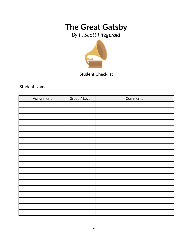*By F. Scott Fitzgerald*



### **Student Checklist**

<u> 1989 - Johann Stoff, fransk politik (</u>

Student Name

| Assignment | Grade / Level | Comments |
|------------|---------------|----------|
|            |               |          |
|            |               |          |
|            |               |          |
|            |               |          |
|            |               |          |
|            |               |          |
|            |               |          |
|            |               |          |
|            |               |          |
|            |               |          |
|            |               |          |
|            |               |          |
|            |               |          |
|            |               |          |
|            |               |          |
|            |               |          |
|            |               |          |
|            |               |          |
|            |               |          |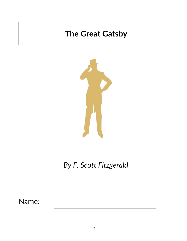

*By F. Scott Fitzgerald*

Name: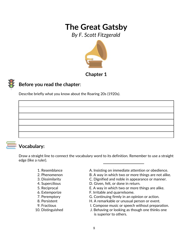*By F. Scott Fitzgerald*



**Chapter 1**

### **Before you read the chapter**:

Describe briefly what you know about the Roaring 20s (1920s).

## **Vocabulary:**

Draw a straight line to connect the vocabulary word to its definition. Remember to use a straight edge (like a ruler).

- 
- 
- 
- 
- 
- 
- 
- 
- 
- 
- 1. Resemblance **A. Insisting on immediate attention or obedience.**
- 2. Phenomenon B. A way in which two or more things are not alike.
- 3. Dissimilarity C. Dignified and noble in appearance or manner.
- 4. Supercilious D. Given, felt, or done in return.
- 5. Reciprocal E. A way in which two or more things are alike.
- 6. Extemporize F. Irritable and quarrelsome.
- 7. Peremptory G. Continuing firmly in an opinion or action.
- 8. Persistent **H. A remarkable or unusual person or event.**
- 9. Fractious **I. Compose music or speech without preparation.**
- 10. Distinguished J. Behaving or looking as though one thinks one is superior to others.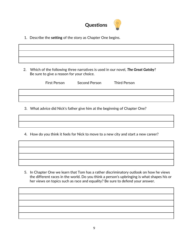

1. Describe the **setting** of the story as Chapter One begins.

 2. Which of the following three narratives is used in our novel, *The Great Gatsby*? Be sure to give a reason for your choice.

First Person Second Person Third Person

3. What advice did Nick's father give him at the beginning of Chapter One?

4. How do you think it feels for Nick to move to a new city and start a new career?

5. In Chapter One we learn that Tom has a rather discriminatory outlook on how he views the different races in the world. Do you think a person's upbringing is what shapes his or her views on topics such as race and equality? Be sure to defend your answer.

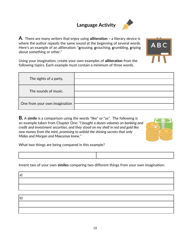## **Language Activity**



**A**. There are many writers that enjoy using **alliteration –** a literary device is where the author repeats the same sound at the beginning of several words. Here's an example of an alliteration: "**g**rousing, **g**rouching, **g**rumbling, **g**riping about something or other."

Using your imagination, create your own examples of **alliteration** from the following topics. Each example must contain a minimum of three words.

| The sights of a party.        |  |
|-------------------------------|--|
| The sounds of music.          |  |
| One from your own imagination |  |

**B.** A **simile** is a comparison using the words "like" or "as". The following is an example taken from Chapter One: *"I bought a dozen volumes on banking and credit and investment securities, and they stood on my shelf in red and gold like new money from the mint, promising to unfold the shining secrets that only Midas and Morgan and Maecenas knew."*



A B (

What two things are being compared in this example?

Invent two of your own **similes** comparing two different things from your own imagination:

a) b)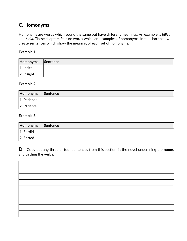### **C. Homonyms**

Homonyms are words which sound the same but have different meanings. An example is *billed* and *build.* These chapters feature words which are examples of homonyms. In the chart below, create sentences which show the meaning of each set of homonyms.

#### **Example 1**

| Homonyms      | Sentence |
|---------------|----------|
| $ 1.$ Incite  |          |
| $ 2.$ Insight |          |

#### **Example 2**

| Homonyms Sentence |  |
|-------------------|--|
| 1. Patience       |  |
| 2. Patients       |  |

#### **Example 3**

| Homonyms Sentence |  |
|-------------------|--|
| 1. Sordid         |  |
| 2. Sorted         |  |

**D**. Copy out any three or four sentences from this section in the novel underlining the **nouns** and circling the **verbs**.